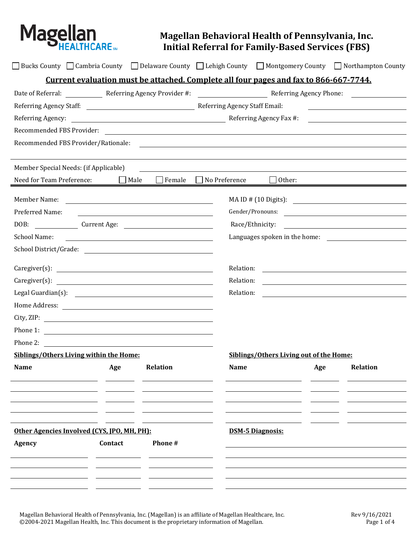

## **Magellan Behavioral Health of Pennsylvania, Inc. Initial Referral for Family-Based Services (FBS)**

|                                             |  |         |                                                                                                                       |                         |                                         |                                                                                                                      | $\Box$ Bucks County $\Box$ Cambria County $\Box$ Delaware County $\Box$ Lehigh County $\Box$ Montgomery County $\Box$ Northampton County |  |
|---------------------------------------------|--|---------|-----------------------------------------------------------------------------------------------------------------------|-------------------------|-----------------------------------------|----------------------------------------------------------------------------------------------------------------------|------------------------------------------------------------------------------------------------------------------------------------------|--|
|                                             |  |         | Current evaluation must be attached. Complete all four pages and fax to 866-667-7744.                                 |                         |                                         |                                                                                                                      |                                                                                                                                          |  |
|                                             |  |         |                                                                                                                       |                         |                                         |                                                                                                                      | Date of Referral: Neferring Agency Provider #: Neferring Agency Phone: Neferring Agency Phone:                                           |  |
|                                             |  |         |                                                                                                                       |                         |                                         |                                                                                                                      | <u> 1989 - Johann Stein, fransk politik (</u>                                                                                            |  |
|                                             |  |         |                                                                                                                       |                         |                                         |                                                                                                                      |                                                                                                                                          |  |
|                                             |  |         |                                                                                                                       |                         |                                         |                                                                                                                      |                                                                                                                                          |  |
| Recommended FBS Provider/Rationale:         |  |         |                                                                                                                       |                         |                                         |                                                                                                                      |                                                                                                                                          |  |
| Member Special Needs: (if Applicable)       |  |         |                                                                                                                       |                         |                                         |                                                                                                                      |                                                                                                                                          |  |
|                                             |  |         | Need for Team Preference: $\Box$ Male $\Box$ Female $\Box$ No Preference $\Box$ Other:                                |                         |                                         |                                                                                                                      |                                                                                                                                          |  |
| Member Name:                                |  |         |                                                                                                                       |                         |                                         |                                                                                                                      |                                                                                                                                          |  |
| Preferred Name:                             |  |         |                                                                                                                       |                         | Gender/Pronouns:                        |                                                                                                                      |                                                                                                                                          |  |
| DOB: Current Age:                           |  |         |                                                                                                                       | Race/Ethnicity:         |                                         |                                                                                                                      |                                                                                                                                          |  |
| School Name:                                |  |         | <u> 1989 - Johann Barbara, martin amerikan basal dan berasal dan berasal dalam basal dalam basal dalam basal dala</u> |                         |                                         |                                                                                                                      | Languages spoken in the home:                                                                                                            |  |
|                                             |  |         |                                                                                                                       |                         |                                         |                                                                                                                      |                                                                                                                                          |  |
|                                             |  |         | Caregiver(s):                                                                                                         | Relation:               |                                         |                                                                                                                      | <u> 1989 - John Stein, Amerikaansk politiker (</u>                                                                                       |  |
|                                             |  |         | Relation:                                                                                                             |                         |                                         | <u> 1989 - Johann Stein, marwolaethau a bhann an t-Amhain an t-Amhain an t-Amhain an t-Amhain an t-Amhain an t-A</u> |                                                                                                                                          |  |
|                                             |  |         | Relation:                                                                                                             |                         |                                         | <u> 1989 - Jan Samuel Barbara, margaret e</u>                                                                        |                                                                                                                                          |  |
|                                             |  |         |                                                                                                                       |                         |                                         |                                                                                                                      |                                                                                                                                          |  |
|                                             |  |         | City, ZIP:                                                                                                            |                         |                                         |                                                                                                                      |                                                                                                                                          |  |
|                                             |  |         | Phone 1: $\qquad \qquad$                                                                                              |                         |                                         |                                                                                                                      |                                                                                                                                          |  |
|                                             |  |         |                                                                                                                       |                         |                                         |                                                                                                                      |                                                                                                                                          |  |
| Siblings/Others Living within the Home:     |  |         |                                                                                                                       |                         | Siblings/Others Living out of the Home: |                                                                                                                      |                                                                                                                                          |  |
| Name                                        |  | Age     | <b>Relation</b>                                                                                                       | Name                    |                                         | Age                                                                                                                  | <b>Relation</b>                                                                                                                          |  |
|                                             |  |         |                                                                                                                       |                         |                                         |                                                                                                                      |                                                                                                                                          |  |
|                                             |  |         |                                                                                                                       |                         |                                         |                                                                                                                      |                                                                                                                                          |  |
|                                             |  |         |                                                                                                                       |                         |                                         |                                                                                                                      |                                                                                                                                          |  |
|                                             |  |         |                                                                                                                       |                         |                                         |                                                                                                                      |                                                                                                                                          |  |
| Other Agencies Involved (CYS, IPO, MH, PH): |  |         |                                                                                                                       | <b>DSM-5 Diagnosis:</b> |                                         |                                                                                                                      |                                                                                                                                          |  |
| Agency                                      |  | Contact | Phone#                                                                                                                |                         |                                         |                                                                                                                      |                                                                                                                                          |  |
|                                             |  |         |                                                                                                                       |                         |                                         |                                                                                                                      |                                                                                                                                          |  |
|                                             |  |         |                                                                                                                       |                         |                                         |                                                                                                                      |                                                                                                                                          |  |
|                                             |  |         |                                                                                                                       |                         |                                         |                                                                                                                      |                                                                                                                                          |  |

Magellan Behavioral Health of Pennsylvania, Inc. (Magellan) is an affiliate of Magellan Healthcare, Inc.<br>© 2004-2021 Magellan Health, Inc. This document is the proprietary information of Magellan. Page 1 of 4 ©2004-2021 Magellan Health, Inc. This document is the proprietary information of Magellan.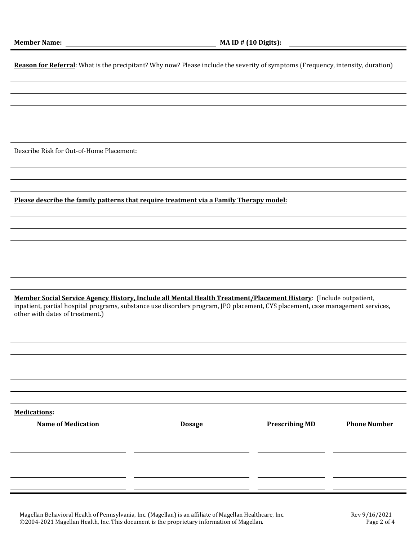| Reason for Referral: What is the precipitant? Why now? Please include the severity of symptoms (Frequency, intensity, duration)                                                                                                                                                        |                                               |                       |                     |  |
|----------------------------------------------------------------------------------------------------------------------------------------------------------------------------------------------------------------------------------------------------------------------------------------|-----------------------------------------------|-----------------------|---------------------|--|
|                                                                                                                                                                                                                                                                                        |                                               |                       |                     |  |
|                                                                                                                                                                                                                                                                                        |                                               |                       |                     |  |
|                                                                                                                                                                                                                                                                                        |                                               |                       |                     |  |
|                                                                                                                                                                                                                                                                                        |                                               |                       |                     |  |
|                                                                                                                                                                                                                                                                                        |                                               |                       |                     |  |
| Describe Risk for Out-of-Home Placement:                                                                                                                                                                                                                                               | <u> 1980 - Andrea Andrew Maria (h. 1980).</u> |                       |                     |  |
|                                                                                                                                                                                                                                                                                        |                                               |                       |                     |  |
|                                                                                                                                                                                                                                                                                        |                                               |                       |                     |  |
|                                                                                                                                                                                                                                                                                        |                                               |                       |                     |  |
| Please describe the family patterns that require treatment via a Family Therapy model:                                                                                                                                                                                                 |                                               |                       |                     |  |
|                                                                                                                                                                                                                                                                                        |                                               |                       |                     |  |
|                                                                                                                                                                                                                                                                                        |                                               |                       |                     |  |
|                                                                                                                                                                                                                                                                                        |                                               |                       |                     |  |
|                                                                                                                                                                                                                                                                                        |                                               |                       |                     |  |
|                                                                                                                                                                                                                                                                                        |                                               |                       |                     |  |
|                                                                                                                                                                                                                                                                                        |                                               |                       |                     |  |
| Member Social Service Agency History, Include all Mental Health Treatment/Placement History: (Include outpatient,<br>inpatient, partial hospital programs, substance use disorders program, JPO placement, CYS placement, case management services,<br>other with dates of treatment.) |                                               |                       |                     |  |
|                                                                                                                                                                                                                                                                                        |                                               |                       |                     |  |
|                                                                                                                                                                                                                                                                                        |                                               |                       |                     |  |
|                                                                                                                                                                                                                                                                                        |                                               |                       |                     |  |
|                                                                                                                                                                                                                                                                                        |                                               |                       |                     |  |
|                                                                                                                                                                                                                                                                                        |                                               |                       |                     |  |
|                                                                                                                                                                                                                                                                                        |                                               |                       |                     |  |
| <b>Medications:</b>                                                                                                                                                                                                                                                                    |                                               |                       |                     |  |
| <b>Name of Medication</b>                                                                                                                                                                                                                                                              | <b>Dosage</b>                                 | <b>Prescribing MD</b> | <b>Phone Number</b> |  |
|                                                                                                                                                                                                                                                                                        |                                               |                       |                     |  |
|                                                                                                                                                                                                                                                                                        |                                               |                       |                     |  |
|                                                                                                                                                                                                                                                                                        |                                               |                       |                     |  |
|                                                                                                                                                                                                                                                                                        |                                               |                       |                     |  |
|                                                                                                                                                                                                                                                                                        |                                               |                       |                     |  |

Magellan Behavioral Health of Pennsylvania, Inc. (Magellan) is an affiliate of Magellan Healthcare, Inc.<br>© 2004-2021 Magellan Health, Inc. This document is the proprietary information of Magellan. Page 2 of 4 ©2004-2021 Magellan Health, Inc. This document is the proprietary information of Magellan. Page 2 of 4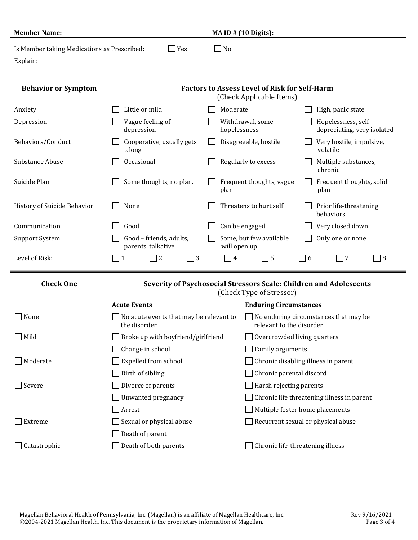| <b>Member Name:</b>                                     | MA ID $#$ (10 Digits):                                                                                                             |                         |                                                                   |                                                    |  |  |
|---------------------------------------------------------|------------------------------------------------------------------------------------------------------------------------------------|-------------------------|-------------------------------------------------------------------|----------------------------------------------------|--|--|
| Is Member taking Medications as Prescribed:<br>Explain: | $\Box$ Yes<br><u> 1980 - Jan Samuel Barbara, martin da shekara 1980 - An tsa a tsa a tsa a tsa a tsa a tsa a tsa a tsa a tsa a</u> | $\Box$ No               |                                                                   |                                                    |  |  |
| <b>Behavior or Symptom</b>                              | <b>Factors to Assess Level of Risk for Self-Harm</b><br>(Check Applicable Items)                                                   |                         |                                                                   |                                                    |  |  |
| Anxiety                                                 | Little or mild                                                                                                                     | Moderate                |                                                                   | High, panic state                                  |  |  |
| Depression                                              | Vague feeling of<br>depression                                                                                                     | hopelessness            | Withdrawal, some                                                  | Hopelessness, self-<br>depreciating, very isolated |  |  |
| Behaviors/Conduct                                       | Cooperative, usually gets<br>along                                                                                                 |                         | Disagreeable, hostile                                             | Very hostile, impulsive,<br>volatile               |  |  |
| Substance Abuse                                         | Occasional                                                                                                                         |                         | Regularly to excess                                               | Multiple substances,<br>chronic                    |  |  |
| Suicide Plan                                            | Some thoughts, no plan.                                                                                                            | plan                    | Frequent thoughts, vague                                          | Frequent thoughts, solid<br>$\Box$<br>plan         |  |  |
| History of Suicide Behavior                             | None                                                                                                                               |                         | Threatens to hurt self                                            | Prior life-threatening<br>behaviors                |  |  |
| Communication                                           | Good                                                                                                                               |                         | Can be engaged                                                    | Very closed down                                   |  |  |
| <b>Support System</b>                                   | Good - friends, adults,<br>parents, talkative                                                                                      | will open up            | Some, but few available                                           | Only one or none                                   |  |  |
| Level of Risk:                                          | $\overline{\phantom{0}}$ 2<br>$\Box$ 3<br>$\vert$   1                                                                              | $\Box$ 4                | $\Box$ 5                                                          | $\sqsupset$ 8<br>$\Box$ 6<br>$\Box$ 7              |  |  |
| <b>Check One</b>                                        | Severity of Psychosocial Stressors Scale: Children and Adolescents<br>(Check Type of Stressor)                                     |                         |                                                                   |                                                    |  |  |
|                                                         | <b>Acute Events</b>                                                                                                                |                         | <b>Enduring Circumstances</b>                                     |                                                    |  |  |
| None                                                    | No acute events that may be relevant to<br>the disorder                                                                            |                         | No enduring circumstances that may be<br>relevant to the disorder |                                                    |  |  |
| Mild                                                    | Broke up with boyfriend/girlfriend                                                                                                 |                         |                                                                   | Overcrowded living quarters                        |  |  |
|                                                         | Change in school                                                                                                                   |                         | Family arguments                                                  |                                                    |  |  |
| Moderate                                                | Expelled from school                                                                                                               |                         |                                                                   | Chronic disabling illness in parent                |  |  |
|                                                         | Birth of sibling                                                                                                                   |                         | Chronic parental discord                                          |                                                    |  |  |
| $\sqrt{\ }$ Severe                                      | Divorce of parents                                                                                                                 | Harsh rejecting parents |                                                                   |                                                    |  |  |
|                                                         | Unwanted pregnancy                                                                                                                 |                         |                                                                   | Chronic life threatening illness in parent         |  |  |
|                                                         | Arrest                                                                                                                             |                         |                                                                   | Multiple foster home placements                    |  |  |
| Extreme                                                 | Sexual or physical abuse                                                                                                           |                         |                                                                   | Recurrent sexual or physical abuse                 |  |  |
|                                                         | Death of parent                                                                                                                    |                         |                                                                   |                                                    |  |  |
| Catastrophic                                            | Death of both parents                                                                                                              |                         |                                                                   | Chronic life-threatening illness                   |  |  |